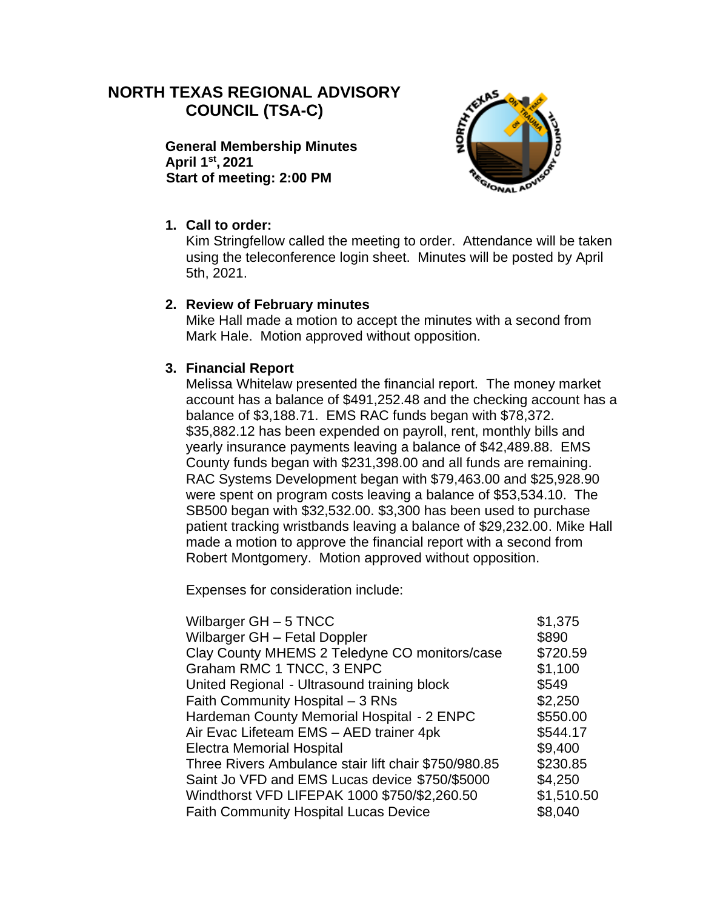# **NORTH TEXAS REGIONAL ADVISORY COUNCIL (TSA-C)**

**General Membership Minutes April 1st , 2021 Start of meeting: 2:00 PM**



### **1. Call to order:**

Kim Stringfellow called the meeting to order. Attendance will be taken using the teleconference login sheet. Minutes will be posted by April 5th, 2021.

#### **2. Review of February minutes**

Mike Hall made a motion to accept the minutes with a second from Mark Hale. Motion approved without opposition.

#### **3. Financial Report**

Melissa Whitelaw presented the financial report. The money market account has a balance of \$491,252.48 and the checking account has a balance of \$3,188.71. EMS RAC funds began with \$78,372. \$35,882.12 has been expended on payroll, rent, monthly bills and yearly insurance payments leaving a balance of \$42,489.88. EMS County funds began with \$231,398.00 and all funds are remaining. RAC Systems Development began with \$79,463.00 and \$25,928.90 were spent on program costs leaving a balance of \$53,534.10. The SB500 began with \$32,532.00. \$3,300 has been used to purchase patient tracking wristbands leaving a balance of \$29,232.00. Mike Hall made a motion to approve the financial report with a second from Robert Montgomery. Motion approved without opposition.

Expenses for consideration include:

| Wilbarger GH - Fetal Doppler<br>\$890<br>Clay County MHEMS 2 Teledyne CO monitors/case<br>\$720.59<br>Graham RMC 1 TNCC, 3 ENPC<br>\$1,100 | \$1,375 |
|--------------------------------------------------------------------------------------------------------------------------------------------|---------|
|                                                                                                                                            |         |
|                                                                                                                                            |         |
|                                                                                                                                            |         |
| United Regional - Ultrasound training block<br>\$549                                                                                       |         |
| \$2,250<br>Faith Community Hospital - 3 RNs                                                                                                |         |
| \$550.00<br>Hardeman County Memorial Hospital - 2 ENPC                                                                                     |         |
| \$544.17<br>Air Evac Lifeteam EMS - AED trainer 4pk                                                                                        |         |
| \$9,400<br><b>Electra Memorial Hospital</b>                                                                                                |         |
| \$230.85<br>Three Rivers Ambulance stair lift chair \$750/980.85                                                                           |         |
| Saint Jo VFD and EMS Lucas device \$750/\$5000<br>\$4,250                                                                                  |         |
| \$1,510.50<br>Windthorst VFD LIFEPAK 1000 \$750/\$2,260.50                                                                                 |         |
| <b>Faith Community Hospital Lucas Device</b><br>\$8,040                                                                                    |         |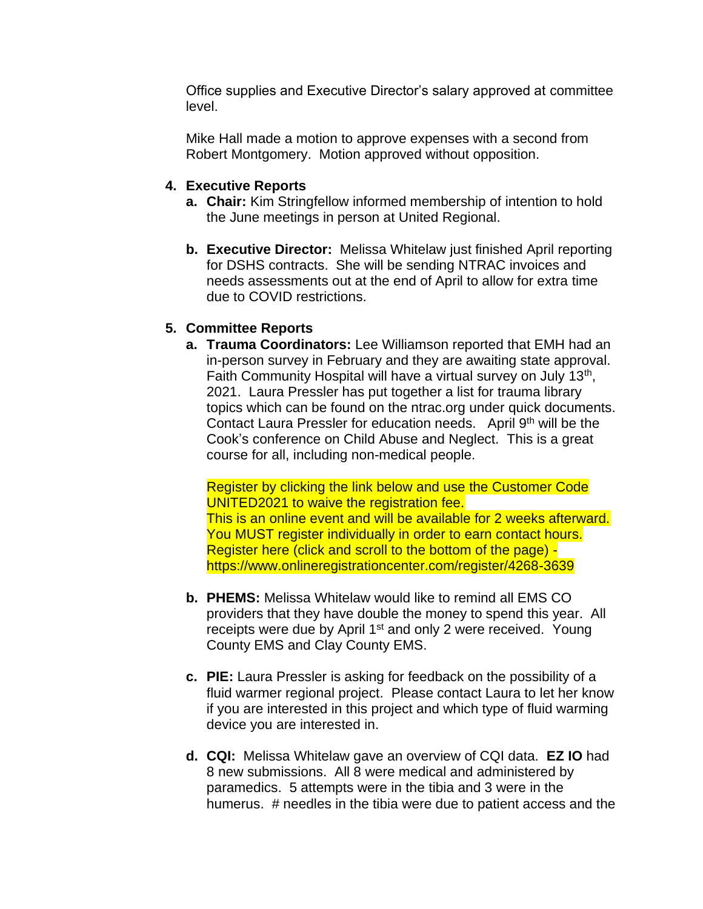Office supplies and Executive Director's salary approved at committee level.

Mike Hall made a motion to approve expenses with a second from Robert Montgomery. Motion approved without opposition.

#### **4. Executive Reports**

- **a. Chair:** Kim Stringfellow informed membership of intention to hold the June meetings in person at United Regional.
- **b. Executive Director:** Melissa Whitelaw just finished April reporting for DSHS contracts. She will be sending NTRAC invoices and needs assessments out at the end of April to allow for extra time due to COVID restrictions.

#### **5. Committee Reports**

**a. Trauma Coordinators:** Lee Williamson reported that EMH had an in-person survey in February and they are awaiting state approval. Faith Community Hospital will have a virtual survey on July 13<sup>th</sup>, 2021. Laura Pressler has put together a list for trauma library topics which can be found on the ntrac.org under quick documents. Contact Laura Pressler for education needs. April 9<sup>th</sup> will be the Cook's conference on Child Abuse and Neglect. This is a great course for all, including non-medical people.

Register by clicking the link below and use the Customer Code UNITED2021 to waive the registration fee. This is an online event and will be available for 2 weeks afterward. You MUST register individually in order to earn contact hours. Register here (click and scroll to the bottom of the page) https://www.onlineregistrationcenter.com/register/4268-3639

- **b. PHEMS:** Melissa Whitelaw would like to remind all EMS CO providers that they have double the money to spend this year. All receipts were due by April 1<sup>st</sup> and only 2 were received. Young County EMS and Clay County EMS.
- **c. PIE:** Laura Pressler is asking for feedback on the possibility of a fluid warmer regional project. Please contact Laura to let her know if you are interested in this project and which type of fluid warming device you are interested in.
- **d. CQI:** Melissa Whitelaw gave an overview of CQI data. **EZ IO** had 8 new submissions. All 8 were medical and administered by paramedics. 5 attempts were in the tibia and 3 were in the humerus. # needles in the tibia were due to patient access and the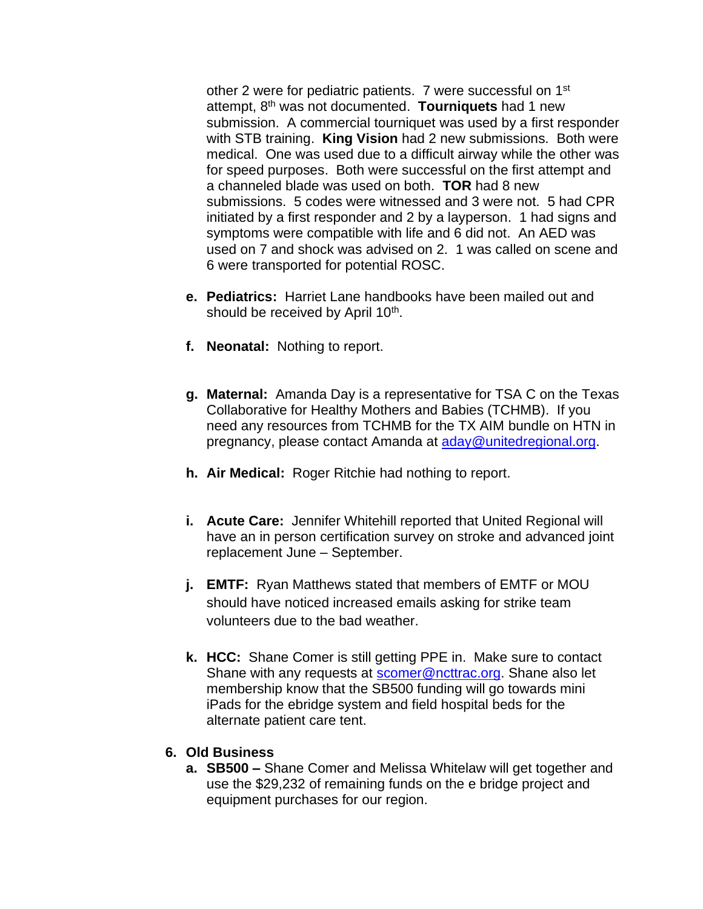other 2 were for pediatric patients. 7 were successful on 1<sup>st</sup> attempt, 8th was not documented. **Tourniquets** had 1 new submission. A commercial tourniquet was used by a first responder with STB training. **King Vision** had 2 new submissions. Both were medical. One was used due to a difficult airway while the other was for speed purposes. Both were successful on the first attempt and a channeled blade was used on both. **TOR** had 8 new submissions. 5 codes were witnessed and 3 were not. 5 had CPR initiated by a first responder and 2 by a layperson. 1 had signs and symptoms were compatible with life and 6 did not. An AED was used on 7 and shock was advised on 2. 1 was called on scene and 6 were transported for potential ROSC.

- **e. Pediatrics:** Harriet Lane handbooks have been mailed out and should be received by April 10<sup>th</sup>.
- **f. Neonatal:** Nothing to report.
- **g. Maternal:** Amanda Day is a representative for TSA C on the Texas Collaborative for Healthy Mothers and Babies (TCHMB). If you need any resources from TCHMB for the TX AIM bundle on HTN in pregnancy, please contact Amanda at [aday@unitedregional.org.](mailto:aday@unitedregional.org)
- **h. Air Medical:** Roger Ritchie had nothing to report.
- **i. Acute Care:** Jennifer Whitehill reported that United Regional will have an in person certification survey on stroke and advanced joint replacement June – September.
- **j. EMTF:** Ryan Matthews stated that members of EMTF or MOU should have noticed increased emails asking for strike team volunteers due to the bad weather.
- **k. HCC:** Shane Comer is still getting PPE in. Make sure to contact Shane with any requests at [scomer@ncttrac.org.](mailto:scomer@ncttrac.org) Shane also let membership know that the SB500 funding will go towards mini iPads for the ebridge system and field hospital beds for the alternate patient care tent.

#### **6. Old Business**

**a. SB500 –** Shane Comer and Melissa Whitelaw will get together and use the \$29,232 of remaining funds on the e bridge project and equipment purchases for our region.